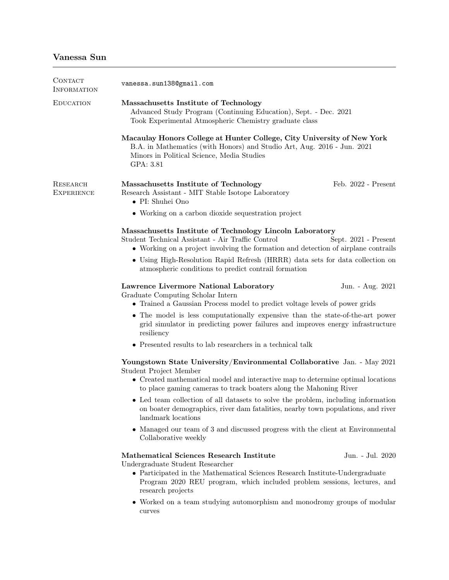| CONTACT<br><b>INFORMATION</b> | vanessa.sun1380gmail.com                                                                                                                                                                                                    |
|-------------------------------|-----------------------------------------------------------------------------------------------------------------------------------------------------------------------------------------------------------------------------|
| <b>EDUCATION</b>              | Massachusetts Institute of Technology<br>Advanced Study Program (Continuing Education), Sept. - Dec. 2021<br>Took Experimental Atmospheric Chemistry graduate class                                                         |
|                               | Macaulay Honors College at Hunter College, City University of New York<br>B.A. in Mathematics (with Honors) and Studio Art, Aug. 2016 - Jun. 2021<br>Minors in Political Science, Media Studies<br>GPA: 3.81                |
| RESEARCH<br><b>EXPERIENCE</b> | Feb. 2022 - Present<br>Massachusetts Institute of Technology<br>Research Assistant - MIT Stable Isotope Laboratory<br>• PI: Shuhei Ono                                                                                      |
|                               | • Working on a carbon dioxide sequestration project                                                                                                                                                                         |
|                               | Massachusetts Institute of Technology Lincoln Laboratory<br>Student Technical Assistant - Air Traffic Control<br>Sept. 2021 - Present<br>• Working on a project involving the formation and detection of airplane contrails |
|                               | • Using High-Resolution Rapid Refresh (HRRR) data sets for data collection on<br>atmospheric conditions to predict contrail formation                                                                                       |
|                               | Lawrence Livermore National Laboratory<br>Jun. - Aug. 2021<br>Graduate Computing Scholar Intern<br>• Trained a Gaussian Process model to predict voltage levels of power grids                                              |
|                               | • The model is less computationally expensive than the state-of-the-art power<br>grid simulator in predicting power failures and improves energy infrastructure<br>resiliency                                               |
|                               | • Presented results to lab researchers in a technical talk                                                                                                                                                                  |
|                               | Youngstown State University/Environmental Collaborative Jan. - May 2021<br>Student Project Member                                                                                                                           |
|                               | • Created mathematical model and interactive map to determine optimal locations<br>to place gaming cameras to track boaters along the Mahoning River                                                                        |
|                               | • Led team collection of all datasets to solve the problem, including information<br>on boater demographics, river dam fatalities, nearby town populations, and river<br>landmark locations                                 |
|                               | • Managed our team of 3 and discussed progress with the client at Environmental<br>Collaborative weekly                                                                                                                     |
|                               | Mathematical Sciences Research Institute<br>Jun. - Jul. 2020<br>Undergraduate Student Researcher                                                                                                                            |
|                               | • Participated in the Mathematical Sciences Research Institute-Undergraduate<br>Program 2020 REU program, which included problem sessions, lectures, and<br>research projects                                               |
|                               | • Worked on a team studying automorphism and monodromy groups of modular                                                                                                                                                    |

curves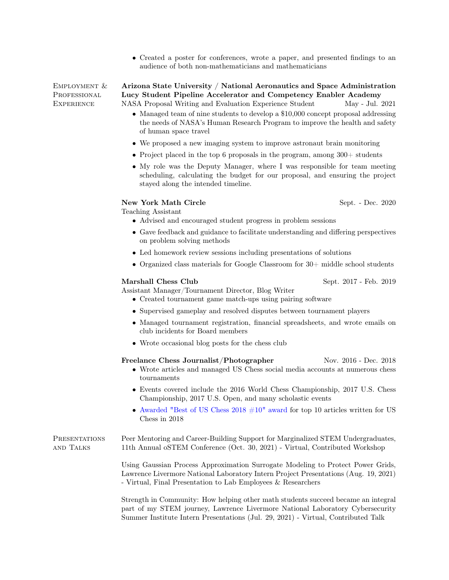• Created a poster for conferences, wrote a paper, and presented findings to an audience of both non-mathematicians and mathematicians

Employment & PROFESSIONAL **EXPERIENCE** 

Arizona State University / National Aeronautics and Space Administration Lucy Student Pipeline Accelerator and Competency Enabler Academy NASA Proposal Writing and Evaluation Experience Student May - Jul. 2021

- Managed team of nine students to develop a \$10,000 concept proposal addressing the needs of NASA's Human Research Program to improve the health and safety of human space travel
- We proposed a new imaging system to improve astronaut brain monitoring
- Project placed in the top 6 proposals in the program, among  $300+$  students
- My role was the Deputy Manager, where I was responsible for team meeting scheduling, calculating the budget for our proposal, and ensuring the project stayed along the intended timeline.

# New York Math Circle Sept. - Dec. 2020

Teaching Assistant

- Advised and encouraged student progress in problem sessions
- Gave feedback and guidance to facilitate understanding and differing perspectives on problem solving methods
- Led homework review sessions including presentations of solutions
- Organized class materials for Google Classroom for 30+ middle school students

#### Marshall Chess Club Sept. 2017 - Feb. 2019

Assistant Manager/Tournament Director, Blog Writer

- Created tournament game match-ups using pairing software
- Supervised gameplay and resolved disputes between tournament players
- Managed tournament registration, financial spreadsheets, and wrote emails on club incidents for Board members
- Wrote occasional blog posts for the chess club

|                            | Freelance Chess Journalist/Photographer<br>• Wrote articles and managed US Chess social media accounts at numerous chess<br>tournaments                                                                                                   | Nov. 2016 - Dec. 2018 |
|----------------------------|-------------------------------------------------------------------------------------------------------------------------------------------------------------------------------------------------------------------------------------------|-----------------------|
|                            | • Events covered include the 2016 World Chess Championship, 2017 U.S. Chess<br>Championship, 2017 U.S. Open, and many scholastic events                                                                                                   |                       |
|                            | • Awarded "Best of US Chess 2018 $\#10$ " award for top 10 articles written for US<br>Chess in $2018$                                                                                                                                     |                       |
| PRESENTATIONS<br>and Talks | Peer Mentoring and Career-Building Support for Marginalized STEM Undergraduates,<br>11th Annual oSTEM Conference (Oct. 30, 2021) - Virtual, Contributed Workshop                                                                          |                       |
|                            | Using Gaussian Process Approximation Surrogate Modeling to Protect Power Grids,<br>Lawrence Livermore National Laboratory Intern Project Presentations (Aug. 19, 2021)<br>- Virtual, Final Presentation to Lab Employees $\&$ Researchers |                       |
|                            | Strength in Community: How helping other math students succeed became an integral                                                                                                                                                         |                       |

part of my STEM journey, Lawrence Livermore National Laboratory Cybersecurity Summer Institute Intern Presentations (Jul. 29, 2021) - Virtual, Contributed Talk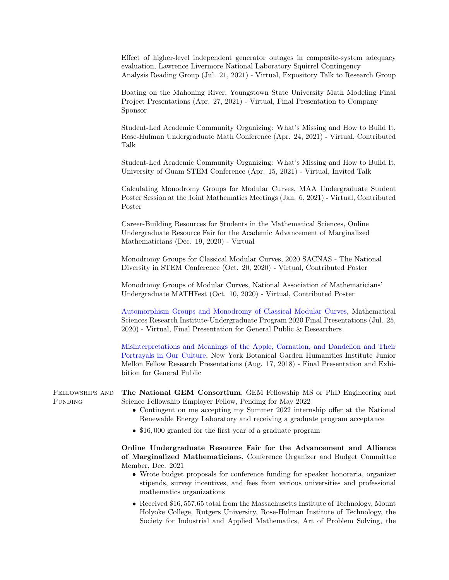Effect of higher-level independent generator outages in composite-system adequacy evaluation, Lawrence Livermore National Laboratory Squirrel Contingency Analysis Reading Group (Jul. 21, 2021) - Virtual, Expository Talk to Research Group

Boating on the Mahoning River, Youngstown State University Math Modeling Final Project Presentations (Apr. 27, 2021) - Virtual, Final Presentation to Company Sponsor

Student-Led Academic Community Organizing: What's Missing and How to Build It, Rose-Hulman Undergraduate Math Conference (Apr. 24, 2021) - Virtual, Contributed Talk

Student-Led Academic Community Organizing: What's Missing and How to Build It, University of Guam STEM Conference (Apr. 15, 2021) - Virtual, Invited Talk

Calculating Monodromy Groups for Modular Curves, MAA Undergraduate Student Poster Session at the Joint Mathematics Meetings (Jan. 6, 2021) - Virtual, Contributed Poster

Career-Building Resources for Students in the Mathematical Sciences, Online Undergraduate Resource Fair for the Academic Advancement of Marginalized Mathematicians (Dec. 19, 2020) - Virtual

Monodromy Groups for Classical Modular Curves, 2020 SACNAS - The National Diversity in STEM Conference (Oct. 20, 2020) - Virtual, Contributed Poster

Monodromy Groups of Modular Curves, National Association of Mathematicians' Undergraduate MATHFest (Oct. 10, 2020) - Virtual, Contributed Poster

[Automorphism Groups and Monodromy of Classical Modular Curves,](https://www.msri.org/msri_ups/949/schedules/28587) Mathematical Sciences Research Institute-Undergraduate Program 2020 Final Presentations (Jul. 25, 2020) - Virtual, Final Presentation for General Public & Researchers

[Misinterpretations and Meanings of the Apple, Carnation, and Dandelion and Their](https://www.nybg.org/blogs/plant-talk/2018/09/from-the-library/humanities-institute/the-junior-mellon-fellow-research-presentations-summer-2018/) [Portrayals in Our Culture,](https://www.nybg.org/blogs/plant-talk/2018/09/from-the-library/humanities-institute/the-junior-mellon-fellow-research-presentations-summer-2018/) New York Botanical Garden Humanities Institute Junior Mellon Fellow Research Presentations (Aug. 17, 2018) - Final Presentation and Exhibition for General Public

Fellowships and FUNDING The National GEM Consortium, GEM Fellowship MS or PhD Engineering and Science Fellowship Employer Fellow, Pending for May 2022

- Contingent on me accepting my Summer 2022 internship offer at the National Renewable Energy Laboratory and receiving a graduate program acceptance
- \$16,000 granted for the first year of a graduate program

Online Undergraduate Resource Fair for the Advancement and Alliance of Marginalized Mathematicians, Conference Organizer and Budget Committee Member, Dec. 2021

- Wrote budget proposals for conference funding for speaker honoraria, organizer stipends, survey incentives, and fees from various universities and professional mathematics organizations
- Received \$16, 557.65 total from the Massachusetts Institute of Technology, Mount Holyoke College, Rutgers University, Rose-Hulman Institute of Technology, the Society for Industrial and Applied Mathematics, Art of Problem Solving, the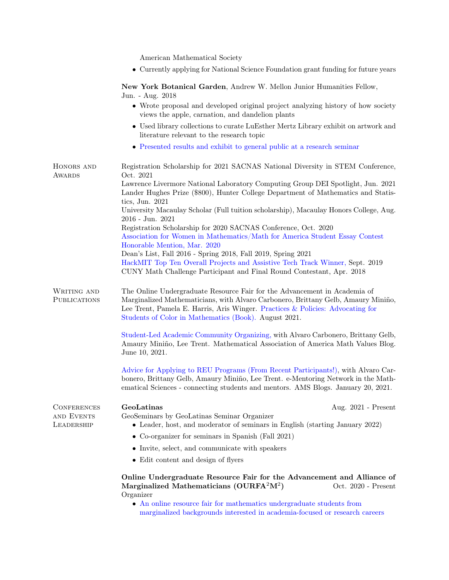American Mathematical Society

• Currently applying for National Science Foundation grant funding for future years

New York Botanical Garden, Andrew W. Mellon Junior Humanities Fellow, Jun. - Aug. 2018

|                                    | Juli - Itug. 2010                                                                                                                                                                                                                                                                                         |
|------------------------------------|-----------------------------------------------------------------------------------------------------------------------------------------------------------------------------------------------------------------------------------------------------------------------------------------------------------|
|                                    | • Wrote proposal and developed original project analyzing history of how society<br>views the apple, carnation, and dandelion plants                                                                                                                                                                      |
|                                    | • Used library collections to curate LuEsther Mertz Library exhibit on artwork and<br>literature relevant to the research topic                                                                                                                                                                           |
|                                    | • Presented results and exhibit to general public at a research seminar                                                                                                                                                                                                                                   |
| HONORS AND<br><b>AWARDS</b>        | Registration Scholarship for 2021 SACNAS National Diversity in STEM Conference,<br>Oct. 2021                                                                                                                                                                                                              |
|                                    | Lawrence Livermore National Laboratory Computing Group DEI Spotlight, Jun. 2021<br>Lander Hughes Prize (\$800), Hunter College Department of Mathematics and Statis-<br>tics, Jun. 2021                                                                                                                   |
|                                    | University Macaulay Scholar (Full tuition scholarship), Macaulay Honors College, Aug.<br>2016 - Jun. 2021                                                                                                                                                                                                 |
|                                    | Registration Scholarship for 2020 SACNAS Conference, Oct. 2020<br>Association for Women in Mathematics/Math for America Student Essay Contest<br>Honorable Mention, Mar. 2020                                                                                                                             |
|                                    | Dean's List, Fall 2016 - Spring 2018, Fall 2019, Spring 2021<br>HackMIT Top Ten Overall Projects and Assistive Tech Track Winner, Sept. 2019<br>CUNY Math Challenge Participant and Final Round Contestant, Apr. 2018                                                                                     |
| WRITING AND<br><b>PUBLICATIONS</b> | The Online Undergraduate Resource Fair for the Advancement in Academia of<br>Marginalized Mathematicians, with Alvaro Carbonero, Brittany Gelb, Amaury Miniño,<br>Lee Trent, Pamela E. Harris, Aris Winger. Practices & Policies: Advocating for<br>Students of Color in Mathematics (Book). August 2021. |
|                                    | Student-Led Academic Community Organizing, with Alvaro Carbonero, Brittany Gelb,<br>Amaury Miniño, Lee Trent. Mathematical Association of America Math Values Blog.<br>June 10, 2021.                                                                                                                     |
|                                    | Advice for Applying to REU Programs (From Recent Participants!), with Alvaro Car-<br>bonero, Brittany Gelb, Amaury Miniño, Lee Trent. e-Mentoring Network in the Math-<br>ematical Sciences - connecting students and mentors. AMS Blogs. January 20, 2021.                                               |
| <b>CONFERENCES</b>                 | GeoLatinas<br>Aug. $2021$ - Present                                                                                                                                                                                                                                                                       |
| AND EVENTS<br>LEADERSHIP           | GeoSeminars by GeoLatinas Seminar Organizer<br>• Leader, host, and moderator of seminars in English (starting January 2022)                                                                                                                                                                               |
|                                    | • Co-organizer for seminars in Spanish (Fall $2021$ )                                                                                                                                                                                                                                                     |
|                                    | • Invite, select, and communicate with speakers                                                                                                                                                                                                                                                           |
|                                    | • Edit content and design of flyers                                                                                                                                                                                                                                                                       |
|                                    | Online Undergraduate Resource Fair for the Advancement and Alliance of<br>Marginalized Mathematicians (OURFA <sup>2</sup> M <sup>2</sup> )<br>Oct. $2020$ - Present<br>Organizer                                                                                                                          |

 $\bullet\,$  [An online resource fair for mathematics undergraduate students from](ourfa2m2.org) [marginalized backgrounds interested in academia-focused or research careers](ourfa2m2.org)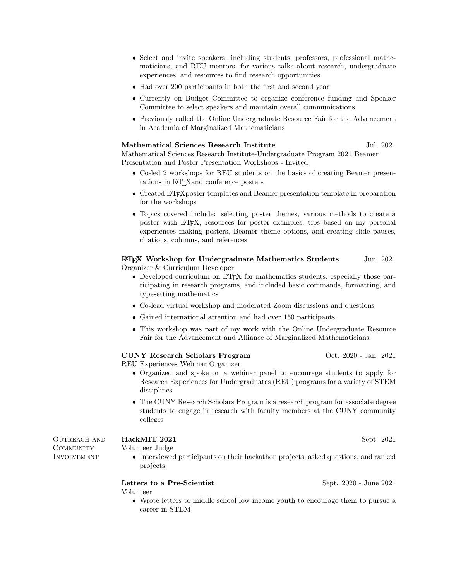- Select and invite speakers, including students, professors, professional mathematicians, and REU mentors, for various talks about research, undergraduate experiences, and resources to find research opportunities
- Had over 200 participants in both the first and second year
- Currently on Budget Committee to organize conference funding and Speaker Committee to select speakers and maintain overall communications
- Previously called the Online Undergraduate Resource Fair for the Advancement in Academia of Marginalized Mathematicians

# Mathematical Sciences Research Institute 5. Jul. 2021

Mathematical Sciences Research Institute-Undergraduate Program 2021 Beamer Presentation and Poster Presentation Workshops - Invited

- Co-led 2 workshops for REU students on the basics of creating Beamer presentations in LATEXand conference posters
- Created L<sup>AT</sup>EX poster templates and Beamer presentation template in preparation for the workshops
- Topics covered include: selecting poster themes, various methods to create a poster with LATEX, resources for poster examples, tips based on my personal experiences making posters, Beamer theme options, and creating slide pauses, citations, columns, and references

LATEX Workshop for Undergraduate Mathematics Students Jun. 2021 Organizer & Curriculum Developer

- Developed curriculum on L<sup>AT</sup>EX for mathematics students, especially those participating in research programs, and included basic commands, formatting, and typesetting mathematics
- Co-lead virtual workshop and moderated Zoom discussions and questions
- Gained international attention and had over 150 participants
- This workshop was part of my work with the Online Undergraduate Resource Fair for the Advancement and Alliance of Marginalized Mathematicians

# CUNY Research Scholars Program Oct. 2020 - Jan. 2021

REU Experiences Webinar Organizer

- Organized and spoke on a webinar panel to encourage students to apply for Research Experiences for Undergraduates (REU) programs for a variety of STEM disciplines
- The CUNY Research Scholars Program is a research program for associate degree students to engage in research with faculty members at the CUNY community colleges

HackMIT 2021 Sept. 2021

OUTREACH AND **COMMUNITY INVOLVEMENT** 

- Volunteer Judge
	- Interviewed participants on their hackathon projects, asked questions, and ranked projects

Letters to a Pre-Scientist Sept. 2020 - June 2021 Volunteer

• Wrote letters to middle school low income youth to encourage them to pursue a career in STEM